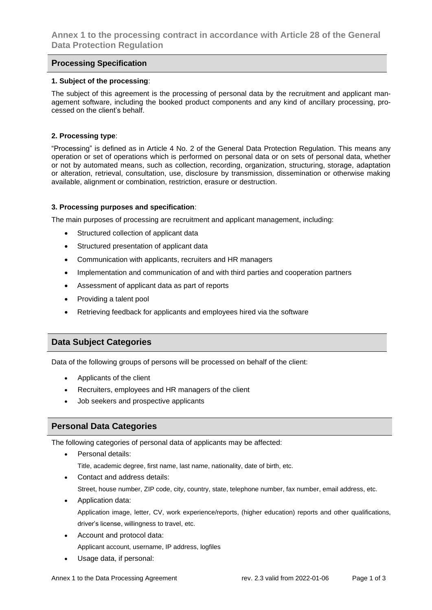## **Processing Specification**

#### **1. Subject of the processing**:

The subject of this agreement is the processing of personal data by the recruitment and applicant management software, including the booked product components and any kind of ancillary processing, processed on the client's behalf.

#### **2. Processing type**:

"Processing" is defined as in Article 4 No. 2 of the General Data Protection Regulation. This means any operation or set of operations which is performed on personal data or on sets of personal data, whether or not by automated means, such as collection, recording, organization, structuring, storage, adaptation or alteration, retrieval, consultation, use, disclosure by transmission, dissemination or otherwise making available, alignment or combination, restriction, erasure or destruction.

### **3. Processing purposes and specification**:

The main purposes of processing are recruitment and applicant management, including:

- Structured collection of applicant data
- Structured presentation of applicant data
- Communication with applicants, recruiters and HR managers
- Implementation and communication of and with third parties and cooperation partners
- Assessment of applicant data as part of reports
- Providing a talent pool
- Retrieving feedback for applicants and employees hired via the software

## **Data Subject Categories**

Data of the following groups of persons will be processed on behalf of the client:

- Applicants of the client
- Recruiters, employees and HR managers of the client
- Job seekers and prospective applicants

# **Personal Data Categories**

The following categories of personal data of applicants may be affected:

- Personal details: Title, academic degree, first name, last name, nationality, date of birth, etc.
- Contact and address details:

Street, house number, ZIP code, city, country, state, telephone number, fax number, email address, etc.

- Application data: Application image, letter, CV, work experience/reports, (higher education) reports and other qualifications, driver's license, willingness to travel, etc.
- Account and protocol data: Applicant account, username, IP address, logfiles
- Usage data, if personal: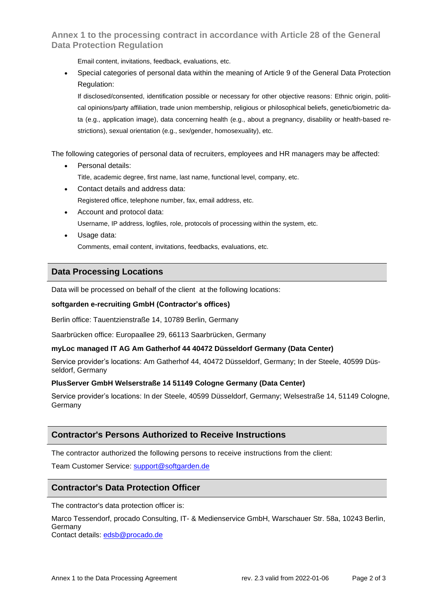# **Annex 1 to the processing contract in accordance with Article 28 of the General Data Protection Regulation**

Email content, invitations, feedback, evaluations, etc.

• Special categories of personal data within the meaning of Article 9 of the General Data Protection Regulation:

If disclosed/consented, identification possible or necessary for other objective reasons: Ethnic origin, political opinions/party affiliation, trade union membership, religious or philosophical beliefs, genetic/biometric data (e.g., application image), data concerning health (e.g., about a pregnancy, disability or health-based restrictions), sexual orientation (e.g., sex/gender, homosexuality), etc.

The following categories of personal data of recruiters, employees and HR managers may be affected:

• Personal details:

Title, academic degree, first name, last name, functional level, company, etc.

- Contact details and address data: Registered office, telephone number, fax, email address, etc.
- Account and protocol data: Username, IP address, logfiles, role, protocols of processing within the system, etc.
- Usage data:

Comments, email content, invitations, feedbacks, evaluations, etc.

# **Data Processing Locations**

Data will be processed on behalf of the client at the following locations:

### **softgarden e-recruiting GmbH (Contractor's offices)**

Berlin office: Tauentzienstraße 14, 10789 Berlin, Germany

Saarbrücken office: Europaallee 29, 66113 Saarbrücken, Germany

## **myLoc managed IT AG Am Gatherhof 44 40472 Düsseldorf Germany (Data Center)**

Service provider's locations: Am Gatherhof 44, 40472 Düsseldorf, Germany; In der Steele, 40599 Düsseldorf, Germany

## **PlusServer GmbH Welserstraße 14 51149 Cologne Germany (Data Center)**

Service provider's locations: In der Steele, 40599 Düsseldorf, Germany; Welsestraße 14, 51149 Cologne, Germany

# **Contractor's Persons Authorized to Receive Instructions**

The contractor authorized the following persons to receive instructions from the client:

Team Customer Service: [support@softgarden.de](mailto:support@softgarden.de)

## **Contractor's Data Protection Officer**

The contractor's data protection officer is:

Marco Tessendorf, procado Consulting, IT- & Medienservice GmbH, Warschauer Str. 58a, 10243 Berlin, Germany

Contact details: [edsb@procado.de](mailto:edsb@procado.de)